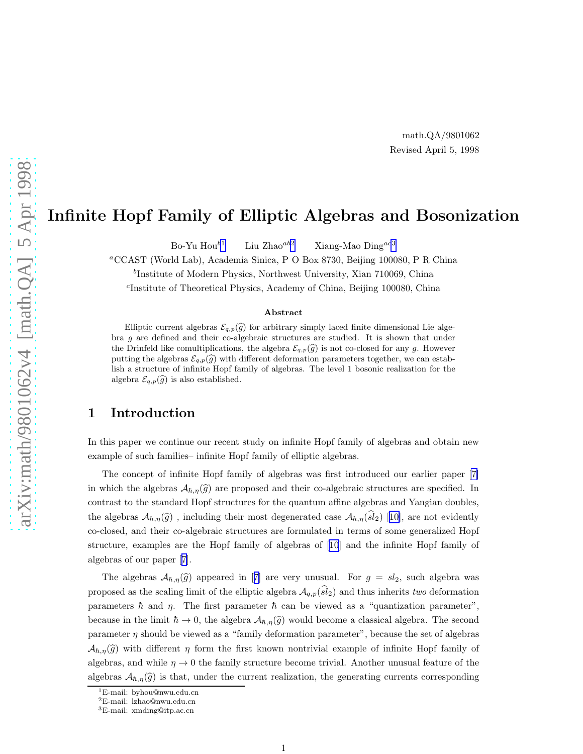## Infinite Hopf Family of Elliptic Algebras and Bosonization

Bo-Yu Hou<sup>b1</sup> Liu Zhao<sup>ab2</sup> Xiang-Mao Ding<sup>ac3</sup>

<sup>a</sup>CCAST (World Lab), Academia Sinica, P O Box 8730, Beijing 100080, P R China

b Institute of Modern Physics, Northwest University, Xian 710069, China

c Institute of Theoretical Physics, Academy of China, Beijing 100080, China

#### Abstract

Elliptic current algebras  $\mathcal{E}_{q,p}(\widehat{g})$  for arbitrary simply laced finite dimensional Lie algebra  $g$  are defined and their co-algebraic structures are studied. It is shown that under the Drinfeld like comultiplications, the algebra  $\mathcal{E}_{q,p}(\hat{g})$  is not co-closed for any g. However putting the algebras  $\mathcal{E}_{q,p}(\widehat{g})$  with different deformation parameters together, we can establish a structure of infinite Hopf family of algebras. The level 1 bosonic realization for the algebra  $\mathcal{E}_{q,p}(\widehat{g})$  is also established.

#### 1 Introduction

In this paper we continue our recent study on infinite Hopf family of algebras and obtain new example of such families– infinite Hopf family of elliptic algebras.

The concept of infinite Hopf family of algebras was first introduced our earlier paper [\[7\]](#page-10-0) in which the algebras  $A_{\hbar,\eta}(\hat{g})$  are proposed and their co-algebraic structures are specified. In contrast to the standard Hopf structures for the quantum affine algebras and Yangian doubles, thealgebras  $A_{\hbar,\eta}(\hat{g})$ , including their most degenerated case  $A_{\hbar,\eta}(\hat{sl}_2)$  [[10\]](#page-10-0), are not evidently co-closed, and their co-algebraic structures are formulated in terms of some generalized Hopf structure, examples are the Hopf family of algebras of[[10](#page-10-0)] and the infinite Hopf family of algebras of our paper[[7\]](#page-10-0).

Thealgebras  $\mathcal{A}_{\hbar,\eta}(\hat{g})$  appeared in [[7\]](#page-10-0) are very unusual. For  $g = sl_2$ , such algebra was proposed as the scaling limit of the elliptic algebra  $\mathcal{A}_{q,p}(\widehat{sl}_2)$  and thus inherits two deformation parameters  $\hbar$  and  $\eta$ . The first parameter  $\hbar$  can be viewed as a "quantization parameter", because in the limit  $\hbar \to 0$ , the algebra  $\mathcal{A}_{\hbar,\eta}(\widehat{g})$  would become a classical algebra. The second parameter η should be viewed as a "family deformation parameter", because the set of algebras  $\mathcal{A}_{\hbar,\eta}(\widehat{g})$  with different  $\eta$  form the first known nontrivial example of infinite Hopf family of algebras, and while  $\eta \to 0$  the family structure become trivial. Another unusual feature of the algebras  $\mathcal{A}_{\hbar,\eta}(\hat{g})$  is that, under the current realization, the generating currents corresponding

<sup>&</sup>lt;sup>1</sup>E-mail: byhou@nwu.edu.cn

<sup>2</sup>E-mail: lzhao@nwu.edu.cn

<sup>3</sup>E-mail: xmding@itp.ac.cn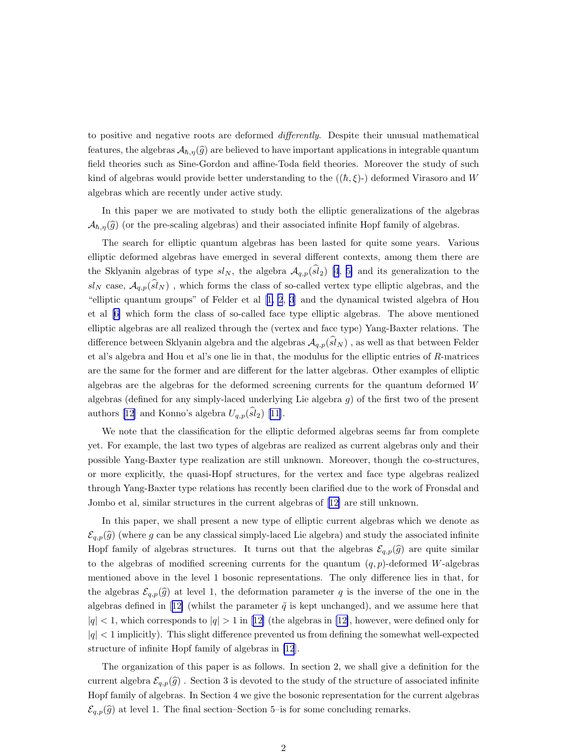to positive and negative roots are deformed differently. Despite their unusual mathematical features, the algebras  $\mathcal{A}_{\hbar,\eta}(\hat{g})$  are believed to have important applications in integrable quantum field theories such as Sine-Gordon and affine-Toda field theories. Moreover the study of such kind of algebras would provide better understanding to the  $((\hbar, \xi)$ -) deformed Virasoro and W algebras which are recently under active study.

In this paper we are motivated to study both the elliptic generalizations of the algebras  $\mathcal{A}_{\hbar,\eta}(\widehat{g})$  (or the pre-scaling algebras) and their associated infinite Hopf family of algebras.

The search for elliptic quantum algebras has been lasted for quite some years. Various elliptic deformed algebras have emerged in several different contexts, among them there are the Sklyanin algebras of type  $sl_N$ , the algebra  $\mathcal{A}_{q,p}(\widehat{sl}_2)$  [\[4](#page-10-0), [5\]](#page-10-0) and its generalization to the  $sl_N$  case,  $\mathcal{A}_{q,p}(\widehat{sl}_N)$ , which forms the class of so-called vertex type elliptic algebras, and the "elliptic quantum groups" of Felder et al[[1, 2](#page-10-0), [3](#page-10-0)] and the dynamical twisted algebra of Hou et al[[6\]](#page-10-0) which form the class of so-called face type elliptic algebras. The above mentioned elliptic algebras are all realized through the (vertex and face type) Yang-Baxter relations. The difference between Sklyanin algebra and the algebras  $\mathcal{A}_{q,p}(sl_N)$ , as well as that between Felder et al's algebra and Hou et al's one lie in that, the modulus for the elliptic entries of R-matrices are the same for the former and are different for the latter algebras. Other examples of elliptic algebras are the algebras for the deformed screening currents for the quantum deformed W algebras (defined for any simply-laced underlying Lie algebra  $q$ ) of the first two of the present authors [\[12\]](#page-11-0) and Konno's algebra  $U_{q,p}(\widehat{sl}_2)$  [\[11\]](#page-11-0).

We note that the classification for the elliptic deformed algebras seems far from complete yet. For example, the last two types of algebras are realized as current algebras only and their possible Yang-Baxter type realization are still unknown. Moreover, though the co-structures, or more explicitly, the quasi-Hopf structures, for the vertex and face type algebras realized through Yang-Baxter type relations has recently been clarified due to the work of Fronsdal and Jombo et al, similar structures in the current algebras of[[12\]](#page-11-0) are still unknown.

In this paper, we shall present a new type of elliptic current algebras which we denote as  $\mathcal{E}_{q,p}(\widehat{g})$  (where g can be any classical simply-laced Lie algebra) and study the associated infinite Hopf family of algebras structures. It turns out that the algebras  $\mathcal{E}_{q,p}(\widehat{g})$  are quite similar to the algebras of modified screening currents for the quantum  $(q, p)$ -deformed W-algebras mentioned above in the level 1 bosonic representations. The only difference lies in that, for the algebras  $\mathcal{E}_{q,p}(\hat{g})$  at level 1, the deformation parameter q is the inverse of the one in the algebrasdefined in [[12\]](#page-11-0) (whilst the parameter  $\tilde{q}$  is kept unchanged), and we assume here that  $|q| < 1$  $|q| < 1$  $|q| < 1$ , which corresponds to  $|q| > 1$  in [[12](#page-11-0)] (the algebras in [\[12\]](#page-11-0), however, were defined only for  $|q| < 1$  implicitly). This slight difference prevented us from defining the somewhat well-expected structure of infinite Hopf family of algebras in [\[12](#page-11-0)].

The organization of this paper is as follows. In section 2, we shall give a definition for the current algebra  $\mathcal{E}_{q,p}(\hat{g})$ . Section 3 is devoted to the study of the structure of associated infinite Hopf family of algebras. In Section 4 we give the bosonic representation for the current algebras  $\mathcal{E}_{q,p}(\widehat{g})$  at level 1. The final section–Section 5–is for some concluding remarks.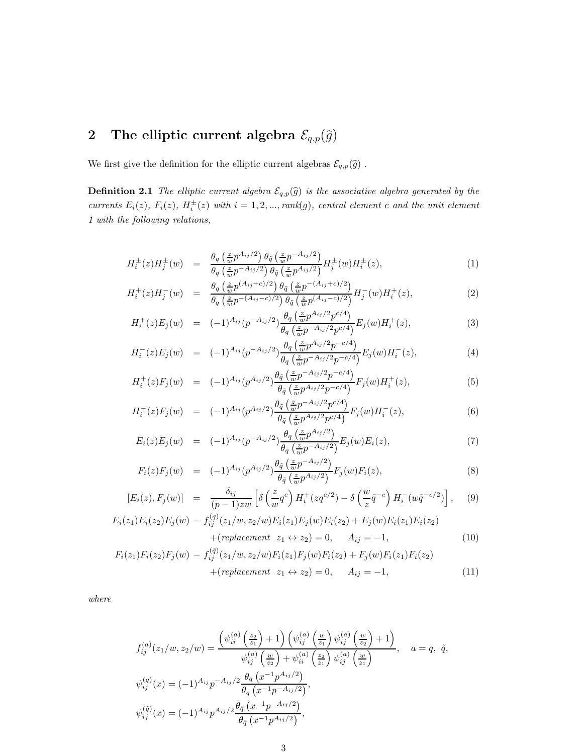# <span id="page-2-0"></span>2 The elliptic current algebra  $\mathcal{E}_{q,p}(\hat{g})$

We first give the definition for the elliptic current algebras  $\mathcal{E}_{q,p}(\widehat{g})$  .

**Definition 2.1** The elliptic current algebra  $\mathcal{E}_{q,p}(\widehat{g})$  is the associative algebra generated by the currents  $E_i(z)$ ,  $F_i(z)$ ,  $H_i^{\pm}(z)$  with  $i = 1, 2, ..., rank(g)$ , central element c and the unit element 1 with the following relations,

$$
H_i^{\pm}(z)H_j^{\pm}(w) = \frac{\theta_q\left(\frac{z}{w}p^{A_{ij}/2}\right)\theta_{\tilde{q}}\left(\frac{z}{w}p^{-A_{ij}/2}\right)}{\theta_q\left(\frac{z}{w}p^{-A_{ij}/2}\right)\theta_{\tilde{q}}\left(\frac{z}{w}p^{A_{ij}/2}\right)}H_j^{\pm}(w)H_i^{\pm}(z),\tag{1}
$$

$$
H_i^+(z)H_j^-(w) = \frac{\theta_q \left(\frac{z}{w} p^{(A_{ij}+c)/2}\right) \theta_{\tilde{q}} \left(\frac{z}{w} p^{-(A_{ij}+c)/2}\right)}{\theta_q \left(\frac{z}{w} p^{-(A_{ij}-c)/2}\right) \theta_{\tilde{q}} \left(\frac{z}{w} p^{(A_{ij}-c)/2}\right)} H_j^-(w)H_i^+(z), \tag{2}
$$

$$
H_i^+(z)E_j(w) = (-1)^{A_{ij}} (p^{-A_{ij}/2}) \frac{\theta_q \left(\frac{z}{w} p^{A_{ij}/2} p^{c/4}\right)}{\theta_q \left(\frac{z}{w} p^{-A_{ij}/2} p^{c/4}\right)} E_j(w) H_i^+(z), \tag{3}
$$

$$
H_i^-(z)E_j(w) = (-1)^{A_{ij}} (p^{-A_{ij}/2}) \frac{\theta_q \left(\frac{z}{w} p^{A_{ij}/2} p^{-c/4}\right)}{\theta_q \left(\frac{z}{w} p^{-A_{ij}/2} p^{-c/4}\right)} E_j(w) H_i^-(z), \tag{4}
$$

$$
H_i^+(z)F_j(w) = (-1)^{A_{ij}} (p^{A_{ij}/2}) \frac{\theta_{\tilde{q}}\left(\frac{z}{w}p^{-A_{ij}/2}p^{-c/4}\right)}{\theta_{\tilde{q}}\left(\frac{z}{w}p^{A_{ij}/2}p^{-c/4}\right)} F_j(w)H_i^+(z), \tag{5}
$$

$$
H_i^-(z)F_j(w) = (-1)^{A_{ij}} (p^{A_{ij}/2}) \frac{\theta_{\tilde{q}} \left(\frac{z}{w} p^{-A_{ij}/2} p^{c/4}\right)}{\theta_{\tilde{q}} \left(\frac{z}{w} p^{A_{ij}/2} p^{c/4}\right)} F_j(w) H_i^-(z), \tag{6}
$$

$$
E_i(z)E_j(w) = (-1)^{A_{ij}} (p^{-A_{ij}/2}) \frac{\theta_q \left(\frac{z}{w} p^{A_{ij}/2}\right)}{\theta_q \left(\frac{z}{w} p^{-A_{ij}/2}\right)} E_j(w) E_i(z), \tag{7}
$$

$$
F_i(z)F_j(w) = (-1)^{A_{ij}} (p^{A_{ij}/2}) \frac{\theta_{\tilde{q}}\left(\frac{z}{w}p^{-A_{ij}/2}\right)}{\theta_{\tilde{q}}\left(\frac{z}{w}p^{A_{ij}/2}\right)} F_j(w)F_i(z), \qquad (8)
$$

$$
[E_i(z), F_j(w)] = \frac{\delta_{ij}}{(p-1)zw} \left[ \delta\left(\frac{z}{w}q^c\right) H_i^+(zq^{c/2}) - \delta\left(\frac{w}{z}\tilde{q}^{-c}\right) H_i^-(w\tilde{q}^{-c/2}) \right], \quad (9)
$$

$$
E_i(z_1)E_i(z_2)E_j(w) - f_{ij}^{(q)}(z_1/w, z_2/w)E_i(z_1)E_j(w)E_i(z_2) + E_j(w)E_i(z_1)E_i(z_2) + (replacement \ z_1 \leftrightarrow z_2) = 0, \quad A_{ij} = -1,
$$
 (10)

$$
F_i(z_1)F_i(z_2)F_j(w) - f_{ij}^{(\tilde{q})}(z_1/w, z_2/w)F_i(z_1)F_j(w)F_i(z_2) + F_j(w)F_i(z_1)F_i(z_2) + (replacement \ z_1 \leftrightarrow z_2) = 0, \quad A_{ij} = -1,
$$
 (11)

where

$$
f_{ij}^{(a)}(z_1/w, z_2/w) = \frac{\left(\psi_{ii}^{(a)}\left(\frac{z_2}{z_1}\right) + 1\right)\left(\psi_{ij}^{(a)}\left(\frac{w}{z_1}\right)\psi_{ij}^{(a)}\left(\frac{w}{z_2}\right) + 1\right)}{\psi_{ij}^{(a)}\left(\frac{w}{z_2}\right) + \psi_{ii}^{(a)}\left(\frac{z_2}{z_1}\right)\psi_{ij}^{(a)}\left(\frac{w}{z_1}\right)}, \quad a = q, \ \tilde{q},
$$
  

$$
\psi_{ij}^{(q)}(x) = (-1)^{A_{ij}} p^{-A_{ij}/2} \frac{\theta_q\left(x^{-1}p^{A_{ij}/2}\right)}{\theta_q\left(x^{-1}p^{-A_{ij}/2}\right)},
$$
  

$$
\psi_{ij}^{(\tilde{q})}(x) = (-1)^{A_{ij}} p^{A_{ij}/2} \frac{\theta_{\tilde{q}}\left(x^{-1}p^{-A_{ij}/2}\right)}{\theta_{\tilde{q}}\left(x^{-1}p^{A_{ij}/2}\right)},
$$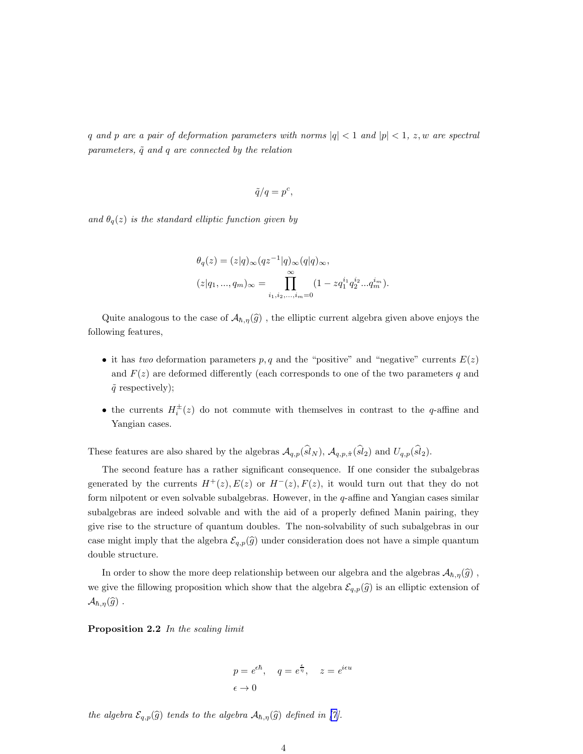q and p are a pair of deformation parameters with norms  $|q| < 1$  and  $|p| < 1$ , z, w are spectral parameters,  $\tilde{q}$  and q are connected by the relation

$$
\tilde{q}/q = p^c,
$$

and  $\theta_q(z)$  is the standard elliptic function given by

$$
\theta_q(z) = (z|q)_{\infty} (qz^{-1}|q)_{\infty} (q|q)_{\infty},
$$
  

$$
(z|q_1, ..., q_m)_{\infty} = \prod_{i_1, i_2, ..., i_m=0}^{\infty} (1 - zq_1^{i_1} q_2^{i_2} ... q_m^{i_m}).
$$

Quite analogous to the case of  $\mathcal{A}_{h,\eta}(\widehat{g})$ , the elliptic current algebra given above enjoys the following features,

- it has two deformation parameters  $p, q$  and the "positive" and "negative" currents  $E(z)$ and  $F(z)$  are deformed differently (each corresponds to one of the two parameters q and  $\tilde{q}$  respectively);
- the currents  $H_i^{\pm}(z)$  do not commute with themselves in contrast to the q-affine and Yangian cases.

These features are also shared by the algebras  $\mathcal{A}_{q,p}(\widehat{sl}_N)$ ,  $\mathcal{A}_{q,p,\hat{\pi}}(\widehat{sl}_2)$  and  $U_{q,p}(\widehat{sl}_2)$ .

The second feature has a rather significant consequence. If one consider the subalgebras generated by the currents  $H^+(z)$ ,  $E(z)$  or  $H^-(z)$ ,  $F(z)$ , it would turn out that they do not form nilpotent or even solvable subalgebras. However, in the q-affine and Yangian cases similar subalgebras are indeed solvable and with the aid of a properly defined Manin pairing, they give rise to the structure of quantum doubles. The non-solvability of such subalgebras in our case might imply that the algebra  $\mathcal{E}_{q,p}(\hat{g})$  under consideration does not have a simple quantum double structure.

In order to show the more deep relationship between our algebra and the algebras  $\mathcal{A}_{h,\eta}(\hat{g})$ , we give the fillowing proposition which show that the algebra  $\mathcal{E}_{q,p}(\widehat{g})$  is an elliptic extension of  $\mathcal{A}_{\hbar,\eta}(\widehat{g})$ .

Proposition 2.2 In the scaling limit

$$
p = e^{\epsilon \hbar}
$$
,  $q = e^{\frac{\epsilon}{\eta}}$ ,  $z = e^{i\epsilon u}$   
 $\epsilon \to 0$ 

the algebra  $\mathcal{E}_{q,p}(\widehat{g})$  tends to the algebra  $\mathcal{A}_{\hbar,\eta}(\widehat{g})$  defined in [\[7\]](#page-10-0).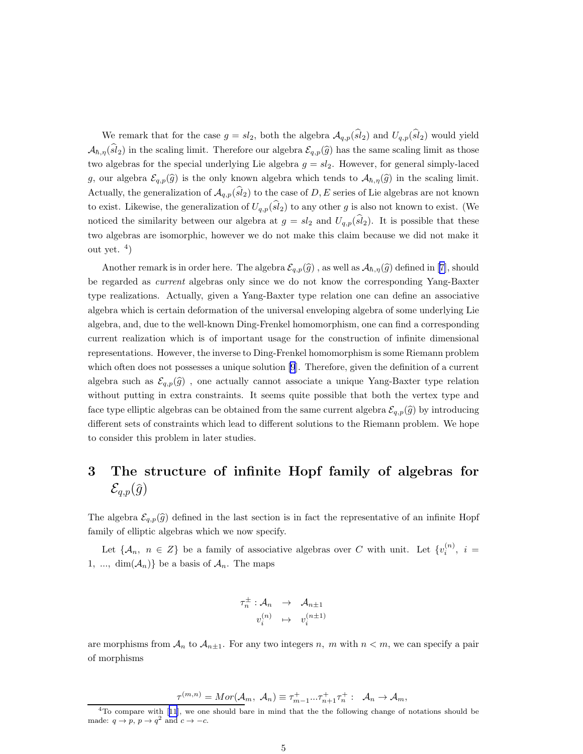<span id="page-4-0"></span>We remark that for the case  $g = sl_2$ , both the algebra  $\mathcal{A}_{q,p}(\widehat{sl}_2)$  and  $U_{q,p}(\widehat{sl}_2)$  would yield  $\mathcal{A}_{\hbar,\eta}(\widehat{sl}_2)$  in the scaling limit. Therefore our algebra  $\mathcal{E}_{q,p}(\widehat{g})$  has the same scaling limit as those two algebras for the special underlying Lie algebra  $g = sl_2$ . However, for general simply-laced g, our algebra  $\mathcal{E}_{q,p}(\hat{g})$  is the only known algebra which tends to  $\mathcal{A}_{\hbar,\eta}(\hat{g})$  in the scaling limit. Actually, the generalization of  $\mathcal{A}_{q,p}(sl_2)$  to the case of D, E series of Lie algebras are not known to exist. Likewise, the generalization of  $U_{q,p}(\widehat{sl}_2)$  to any other g is also not known to exist. (We noticed the similarity between our algebra at  $g = sl_2$  and  $U_{q,p}(sl_2)$ . It is possible that these two algebras are isomorphic, however we do not make this claim because we did not make it out yet.  $4)$ 

Anotherremark is in order here. The algebra  $\mathcal{E}_{q,p}(\widehat{g})$ , as well as  $\mathcal{A}_{\hbar,\eta}(\widehat{g})$  defined in [[7\]](#page-10-0), should be regarded as current algebras only since we do not know the corresponding Yang-Baxter type realizations. Actually, given a Yang-Baxter type relation one can define an associative algebra which is certain deformation of the universal enveloping algebra of some underlying Lie algebra, and, due to the well-known Ding-Frenkel homomorphism, one can find a corresponding current realization which is of important usage for the construction of infinite dimensional representations. However, the inverse to Ding-Frenkel homomorphism is some Riemann problem which often does not possesses a unique solution [\[9](#page-10-0)]. Therefore, given the definition of a current algebra such as  $\mathcal{E}_{q,p}(\hat{g})$ , one actually cannot associate a unique Yang-Baxter type relation without putting in extra constraints. It seems quite possible that both the vertex type and face type elliptic algebras can be obtained from the same current algebra  $\mathcal{E}_{q,p}(\hat{g})$  by introducing different sets of constraints which lead to different solutions to the Riemann problem. We hope to consider this problem in later studies.

### 3 The structure of infinite Hopf family of algebras for  $\mathcal{E}_{q,p}(\widehat{g})$

The algebra  $\mathcal{E}_{q,p}(\hat{g})$  defined in the last section is in fact the representative of an infinite Hopf family of elliptic algebras which we now specify.

Let  $\{\mathcal{A}_n, n \in \mathbb{Z}\}\$  be a family of associative algebras over C with unit. Let  $\{v_i^{(n)}, i =$ 1, ...,  $\dim(A_n)$  be a basis of  $A_n$ . The maps

$$
\tau_n^{\pm} : \mathcal{A}_n \rightarrow \mathcal{A}_{n \pm 1}
$$

$$
v_i^{(n)} \rightarrow v_i^{(n \pm 1)}
$$

are morphisms from  $A_n$  to  $A_{n\pm 1}$ . For any two integers n, m with  $n < m$ , we can specify a pair of morphisms

$$
\tau^{(m,n)} = Mor(\mathcal{A}_m, \ \mathcal{A}_n) \equiv \tau^+_{m-1} ... \tau^+_{n+1} \tau^+_n : \ \mathcal{A}_n \to \mathcal{A}_m,
$$

 $4T_0$ compare with [[11](#page-11-0)], we one should bare in mind that the the following change of notations should be made:  $q \rightarrow p$ ,  $p \rightarrow q^2$  and  $c \rightarrow -c$ .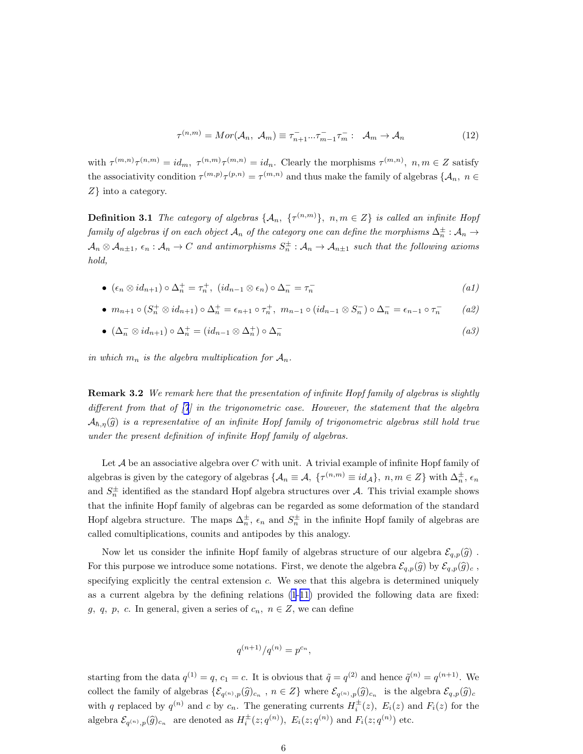$$
\tau^{(n,m)} = Mor(\mathcal{A}_n, \ \mathcal{A}_m) \equiv \tau_{n+1}^- \dots \tau_{m-1}^- \tau_m^- : \ \mathcal{A}_m \to \mathcal{A}_n \tag{12}
$$

with  $\tau^{(m,n)}\tau^{(n,m)} = id_m$ ,  $\tau^{(n,m)}\tau^{(m,n)} = id_n$ . Clearly the morphisms  $\tau^{(m,n)}$ ,  $n,m \in \mathbb{Z}$  satisfy the associativity condition  $\tau^{(m,p)}\tau^{(p,n)} = \tau^{(m,n)}$  and thus make the family of algebras  $\{\mathcal{A}_n, n \in$ Z} into a category.

**Definition 3.1** The category of algebras  $\{A_n, \{ {\tau}^{(n,m)} \}, n,m \in Z \}$  is called an infinite Hopf  $family$  of algebras if on each object  $\mathcal{A}_n$  of the category one can define the morphisms  $\Delta_n^\pm:\mathcal{A}_n\to$  $\mathcal{A}_n\otimes\mathcal{A}_{n\pm1},\ \epsilon_n:\mathcal{A}_n\to C$  and antimorphisms  $S_n^\pm:\mathcal{A}_n\to\mathcal{A}_{n\pm1}$  such that the following axioms hold,

• 
$$
(\epsilon_n \otimes id_{n+1}) \circ \Delta_n^+ = \tau_n^+, \ (id_{n-1} \otimes \epsilon_n) \circ \Delta_n^- = \tau_n^-
$$
 (a1)

• 
$$
m_{n+1} \circ (S_n^+ \otimes id_{n+1}) \circ \Delta_n^+ = \epsilon_{n+1} \circ \tau_n^+, \ m_{n-1} \circ (id_{n-1} \otimes S_n^-) \circ \Delta_n^- = \epsilon_{n-1} \circ \tau_n^-
$$
 (a2)

• 
$$
(\Delta_n^- \otimes id_{n+1}) \circ \Delta_n^+ = (id_{n-1} \otimes \Delta_n^+) \circ \Delta_n^-
$$
 (a3)

in which  $m_n$  is the algebra multiplication for  $A_n$ .

**Remark 3.2** We remark here that the presentation of infinite Hopf family of algebras is slightly different from that of  $|7|$  in the trigonometric case. However, the statement that the algebra  $\mathcal{A}_{h,n}(\widehat{g})$  is a representative of an infinite Hopf family of trigonometric algebras still hold true under the present definition of infinite Hopf family of algebras.

Let  $A$  be an associative algebra over  $C$  with unit. A trivial example of infinite Hopf family of algebras is given by the category of algebras  $\{\mathcal{A}_n \equiv \mathcal{A}, \ \{\tau^{(n,m)} \equiv id_\mathcal{A}\}, \ n, m \in \mathbb{Z}\}\$  with  $\Delta_n^{\pm}$ ,  $\epsilon_n$ and  $S_n^{\pm}$  identified as the standard Hopf algebra structures over A. This trivial example shows that the infinite Hopf family of algebras can be regarded as some deformation of the standard Hopf algebra structure. The maps  $\Delta_n^{\pm}$ ,  $\epsilon_n$  and  $S_n^{\pm}$  in the infinite Hopf family of algebras are called comultiplications, counits and antipodes by this analogy.

Now let us consider the infinite Hopf family of algebras structure of our algebra  $\mathcal{E}_{q,p}(\widehat{g})$ . For this purpose we introduce some notations. First, we denote the algebra  $\mathcal{E}_{q,p}(\widehat{g})$  by  $\mathcal{E}_{q,p}(\widehat{g})_c$ , specifying explicitly the central extension  $c$ . We see that this algebra is determined uniquely as a current algebra by the defining relations [\(1](#page-2-0)-[11\)](#page-2-0) provided the following data are fixed: g, q, p, c. In general, given a series of  $c_n$ ,  $n \in \mathbb{Z}$ , we can define

$$
q^{(n+1)}/q^{(n)} = p^{c_n},
$$

starting from the data  $q^{(1)} = q$ ,  $c_1 = c$ . It is obvious that  $\tilde{q} = q^{(2)}$  and hence  $\tilde{q}^{(n)} = q^{(n+1)}$ . We collect the family of algebras  $\{\mathcal{E}_{q^{(n)},p}(\widehat{g})_{c_n}$ ,  $n \in \mathbb{Z}\}$  where  $\mathcal{E}_{q^{(n)},p}(\widehat{g})_{c_n}$  is the algebra  $\mathcal{E}_{q,p}(\widehat{g})_{c_n}$ with q replaced by  $q^{(n)}$  and c by  $c_n$ . The generating currents  $H_i^{\pm}(z)$ ,  $E_i(z)$  and  $F_i(z)$  for the algebra  $\mathcal{E}_{q^{(n)},p}(\widehat{g})_{c_n}$  are denoted as  $H_i^{\pm}(z;q^{(n)}), E_i(z;q^{(n)})$  and  $F_i(z;q^{(n)})$  etc.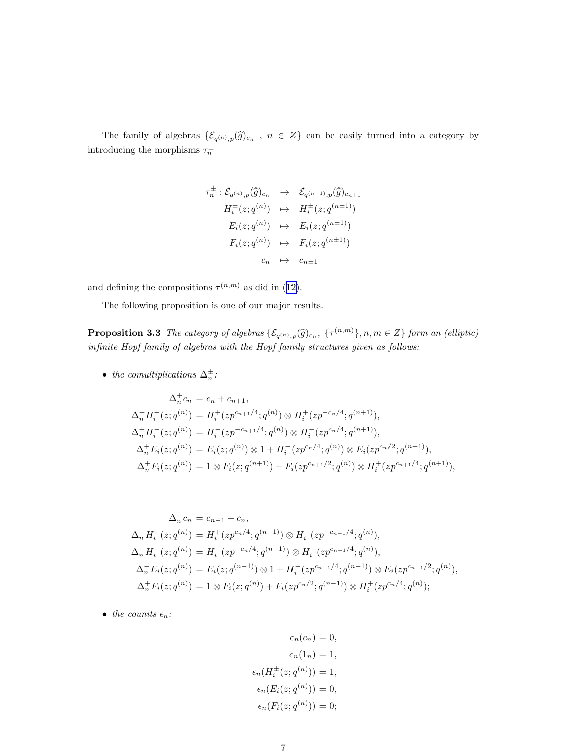The family of algebras  $\{\mathcal{E}_{q^{(n)},p}(\widehat{g})_{c_n}$ ,  $n \in Z\}$  can be easily turned into a category by introducing the morphisms  $\tau_n^{\pm}$ 

$$
\tau_n^{\pm} : \mathcal{E}_{q^{(n)},p}(\widehat{g})_{c_n} \rightarrow \mathcal{E}_{q^{(n\pm 1)},p}(\widehat{g})_{c_{n\pm 1}}
$$
\n
$$
H_i^{\pm}(z;q^{(n)}) \rightarrow H_i^{\pm}(z;q^{(n\pm 1)})
$$
\n
$$
E_i(z;q^{(n)}) \rightarrow E_i(z;q^{(n\pm 1)})
$$
\n
$$
F_i(z;q^{(n)}) \rightarrow F_i(z;q^{(n\pm 1)})
$$
\n
$$
c_n \rightarrow c_{n\pm 1}
$$

anddefining the compositions  $\tau^{(n,m)}$  as did in ([12\)](#page-4-0).

The following proposition is one of our major results.

**Proposition 3.3** The category of algebras  $\{\mathcal{E}_{q^{(n)},p}(\widehat{g})_{c_n}, \ \{\tau^{(n,m)}\}, n,m \in \mathbb{Z}\}\)$  form an (elliptic) infinite Hopf family of algebras with the Hopf family structures given as follows:

• the comultiplications  $\Delta_n^{\pm}$ :

$$
\Delta_n^+ c_n = c_n + c_{n+1},
$$
  
\n
$$
\Delta_n^+ H_i^+(z; q^{(n)}) = H_i^+(z p^{c_{n+1}/4}; q^{(n)}) \otimes H_i^+(z p^{-c_n/4}; q^{(n+1)}),
$$
  
\n
$$
\Delta_n^+ H_i^-(z; q^{(n)}) = H_i^-(z p^{-c_{n+1}/4}; q^{(n)}) \otimes H_i^-(z p^{c_n/4}; q^{(n+1)}),
$$
  
\n
$$
\Delta_n^+ E_i(z; q^{(n)}) = E_i(z; q^{(n)}) \otimes 1 + H_i^-(z p^{c_n/4}; q^{(n)}) \otimes E_i(z p^{c_n/2}; q^{(n+1)}),
$$
  
\n
$$
\Delta_n^+ F_i(z; q^{(n)}) = 1 \otimes F_i(z; q^{(n+1)}) + F_i(z p^{c_{n+1}/2}; q^{(n)}) \otimes H_i^+(z p^{c_{n+1}/4}; q^{(n+1)}),
$$

$$
\Delta_n^- c_n = c_{n-1} + c_n,
$$
  
\n
$$
\Delta_n^- H_i^+(z; q^{(n)}) = H_i^+(zp^{c_n/4}; q^{(n-1)}) \otimes H_i^+(zp^{-c_{n-1}/4}; q^{(n)}),
$$
  
\n
$$
\Delta_n^- H_i^-(z; q^{(n)}) = H_i^-(zp^{-c_n/4}; q^{(n-1)}) \otimes H_i^-(zp^{c_{n-1}/4}; q^{(n)}),
$$
  
\n
$$
\Delta_n^- E_i(z; q^{(n)}) = E_i(z; q^{(n-1)}) \otimes 1 + H_i^-(zp^{c_{n-1}/4}; q^{(n-1)}) \otimes E_i(zp^{c_{n-1}/2}; q^{(n)}),
$$
  
\n
$$
\Delta_n^+ F_i(z; q^{(n)}) = 1 \otimes F_i(z; q^{(n)}) + F_i(zp^{c_n/2}; q^{(n-1)}) \otimes H_i^+(zp^{c_n/4}; q^{(n)});
$$

• the counits  $\epsilon_n$ :

$$
\epsilon_n(c_n) = 0,
$$
  
\n
$$
\epsilon_n(1_n) = 1,
$$
  
\n
$$
\epsilon_n(H_i^{\pm}(z; q^{(n)})) = 1,
$$
  
\n
$$
\epsilon_n(E_i(z; q^{(n)})) = 0,
$$
  
\n
$$
\epsilon_n(F_i(z; q^{(n)})) = 0;
$$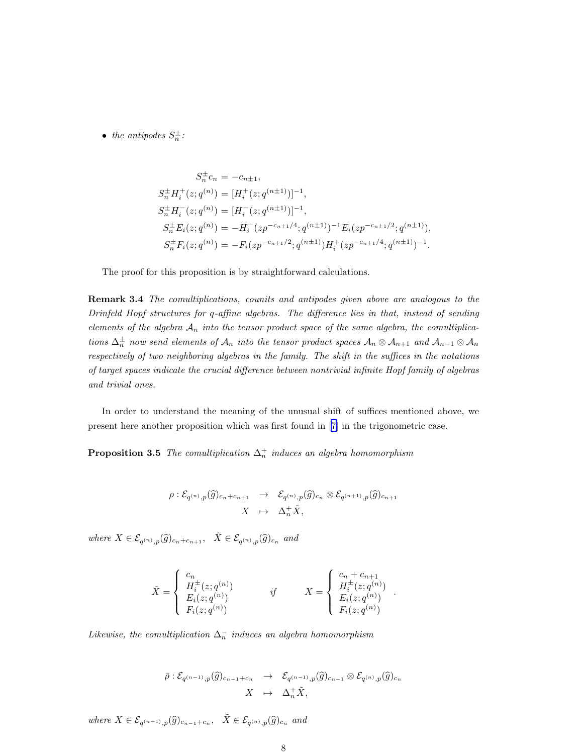• the antipodes  $S_n^{\pm}$ :

$$
S_n^{\pm}c_n = -c_{n\pm 1},
$$
  
\n
$$
S_n^{\pm}H_i^+(z;q^{(n)}) = [H_i^+(z;q^{(n\pm 1)})]^{-1},
$$
  
\n
$$
S_n^{\pm}H_i^-(z;q^{(n)}) = [H_i^-(z;q^{(n\pm 1)})]^{-1},
$$
  
\n
$$
S_n^{\pm}E_i(z;q^{(n)}) = -H_i^-(zp^{-c_{n\pm 1}/4};q^{(n\pm 1)})^{-1}E_i(zp^{-c_{n\pm 1}/2};q^{(n\pm 1)}),
$$
  
\n
$$
S_n^{\pm}F_i(z;q^{(n)}) = -F_i(zp^{-c_{n\pm 1}/2};q^{(n\pm 1)})H_i^+(zp^{-c_{n\pm 1}/4};q^{(n\pm 1)})^{-1}.
$$

The proof for this proposition is by straightforward calculations.

Remark 3.4 The comultiplications, counits and antipodes given above are analogous to the Drinfeld Hopf structures for q-affine algebras. The difference lies in that, instead of sending elements of the algebra  $A_n$  into the tensor product space of the same algebra, the comultiplications  $\Delta_n^{\pm}$  now send elements of  $\mathcal{A}_n$  into the tensor product spaces  $\mathcal{A}_n \otimes \mathcal{A}_{n+1}$  and  $\mathcal{A}_{n-1} \otimes \mathcal{A}_n$ respectively of two neighboring algebras in the family. The shift in the suffices in the notations of target spaces indicate the crucial difference between nontrivial infinite Hopf family of algebras and trivial ones.

In order to understand the meaning of the unusual shift of suffices mentioned above, we present here another proposition which was first found in[[7](#page-10-0)] in the trigonometric case.

**Proposition 3.5** The comultiplication  $\Delta_n^+$  induces an algebra homomorphism

$$
\begin{array}{rcl}\rho: \mathcal{E}_{q^{(n)},p}(\widehat{g})_{c_n+c_{n+1}} & \rightarrow & \mathcal{E}_{q^{(n)},p}(\widehat{g})_{c_n} \otimes \mathcal{E}_{q^{(n+1)},p}(\widehat{g})_{c_{n+1}}\\ X & \mapsto & \Delta_n^+ \widetilde{X},\end{array}
$$

where  $X \in \mathcal{E}_{q^{(n)},p}(\widehat{g})_{c_n+c_{n+1}}, \quad \tilde{X} \in \mathcal{E}_{q^{(n)},p}(\widehat{g})_{c_n}$  and

$$
\tilde{X} = \begin{cases}\n\begin{array}{c}\nc_n \\
H_i^{\pm}(z; q^{(n)}) \\
E_i(z; q^{(n)})\n\end{array} & \text{if} & X = \begin{cases}\n\begin{array}{c}\nc_n + c_{n+1} \\
H_i^{\pm}(z; q^{(n)})\n\end{array} \\
E_i(z; q^{(n)})\n\end{array}.\n\end{cases}
$$

Likewise, the comultiplication  $\Delta_n^-$  induces an algebra homomorphism

$$
\overline{\rho}: \mathcal{E}_{q^{(n-1)},p}(\widehat{g})_{c_{n-1}+c_n} \longrightarrow \mathcal{E}_{q^{(n-1)},p}(\widehat{g})_{c_{n-1}} \otimes \mathcal{E}_{q^{(n)},p}(\widehat{g})_{c_n}
$$

$$
X \longrightarrow \Delta_n^+ \widetilde{X},
$$

where  $X \in \mathcal{E}_{q^{(n-1)},p}(\widehat{g})_{c_{n-1}+c_n}, \quad \tilde{X} \in \mathcal{E}_{q^{(n)},p}(\widehat{g})_{c_n}$  and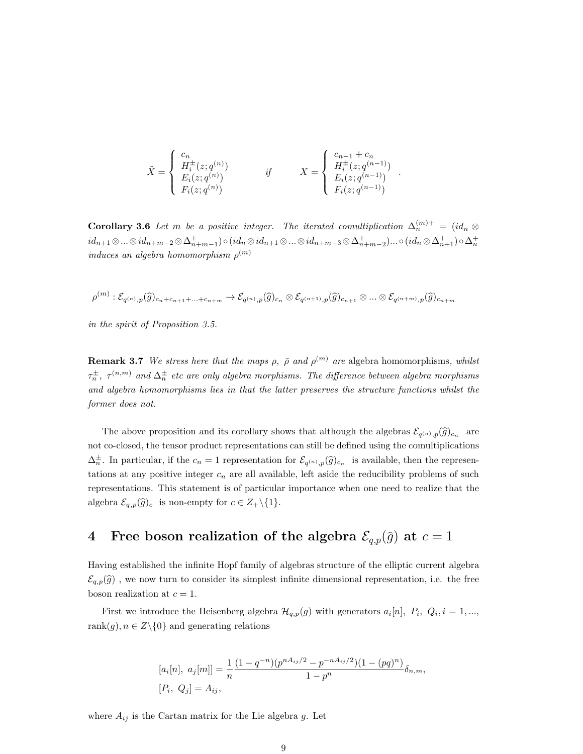$$
\tilde{X} = \begin{cases}\n\begin{array}{c}\nc_n \\
H_i^{\pm}(z; q^{(n)}) \\
E_i(z; q^{(n)})\n\end{array} & \text{if} & X = \begin{cases}\nc_{n-1} + c_n \\
H_i^{\pm}(z; q^{(n-1)}) \\
E_i(z; q^{(n-1)})\n\end{cases} \\
F_i(z; q^{(n-1)})\n\end{cases}
$$

.

**Corollary 3.6** Let m be a positive integer. The iterated comultiplication  $\Delta_n^{(m)+} = (id_n \otimes$  $id_{n+1}\otimes...\otimes id_{n+m-2}\otimes\Delta^+_{n+m-1})\circ (id_n\otimes id_{n+1}\otimes...\otimes id_{n+m-3}\otimes\Delta^+_{n+m-2})...\circ (id_n\otimes\Delta^+_{n+1})\circ\Delta^+_{n}$  $induces\ an\ algebra\ homomorphism\ \rho^{(m)}$ 

$$
\rho^{(m)}:\mathcal{E}_{q^{(n)},p}(\widehat{g})_{c_n+c_{n+1}+\ldots+c_{n+m}}\rightarrow \mathcal{E}_{q^{(n)},p}(\widehat{g})_{c_n}\otimes\mathcal{E}_{q^{(n+1)},p}(\widehat{g})_{c_{n+1}}\otimes\ldots\otimes\mathcal{E}_{q^{(n+m)},p}(\widehat{g})_{c_{n+m}}
$$

in the spirit of Proposition 3.5.

**Remark 3.7** We stress here that the maps  $\rho$ ,  $\bar{\rho}$  and  $\rho^{(m)}$  are algebra homomorphisms, whilst  $\tau_n^\pm$ ,  $\tau^{(n,m)}$  and  $\Delta_n^\pm$  etc are only algebra morphisms. The difference between algebra morphisms and algebra homomorphisms lies in that the latter preserves the structure functions whilst the former does not.

The above proposition and its corollary shows that although the algebras  $\mathcal{E}_{q^{(n)},p}(\widehat{g})_{c_n}$  are not co-closed, the tensor product representations can still be defined using the comultiplications  $\Delta_n^{\pm}$ . In particular, if the  $c_n = 1$  representation for  $\mathcal{E}_{q^{(n)},p}(\widehat{g})_{c_n}$  is available, then the representations at any positive integer  $c_n$  are all available, left aside the reducibility problems of such representations. This statement is of particular importance when one need to realize that the algebra  $\mathcal{E}_{q,p}(\widehat{g})_c$  is non-empty for  $c \in Z_+\backslash \{1\}.$ 

## 4 Free boson realization of the algebra  $\mathcal{E}_{q,p}(\hat{g})$  at  $c = 1$

Having established the infinite Hopf family of algebras structure of the elliptic current algebra  $\mathcal{E}_{q,p}(\hat{g})$ , we now turn to consider its simplest infinite dimensional representation, i.e. the free boson realization at  $c = 1$ .

First we introduce the Heisenberg algebra  $\mathcal{H}_{q,p}(g)$  with generators  $a_i[n], P_i, Q_i, i = 1, \ldots,$ rank $(g), n \in Z \setminus \{0\}$  and generating relations

$$
[a_i[n], a_j[m]] = \frac{1}{n} \frac{(1 - q^{-n})(p^{nA_{ij}/2} - p^{-nA_{ij}/2})(1 - (pq)^n)}{1 - p^n} \delta_{n,m},
$$
  
[*P<sub>i</sub>*, *Q<sub>j</sub>*] = *A<sub>ij</sub>*,

where  $A_{ij}$  is the Cartan matrix for the Lie algebra g. Let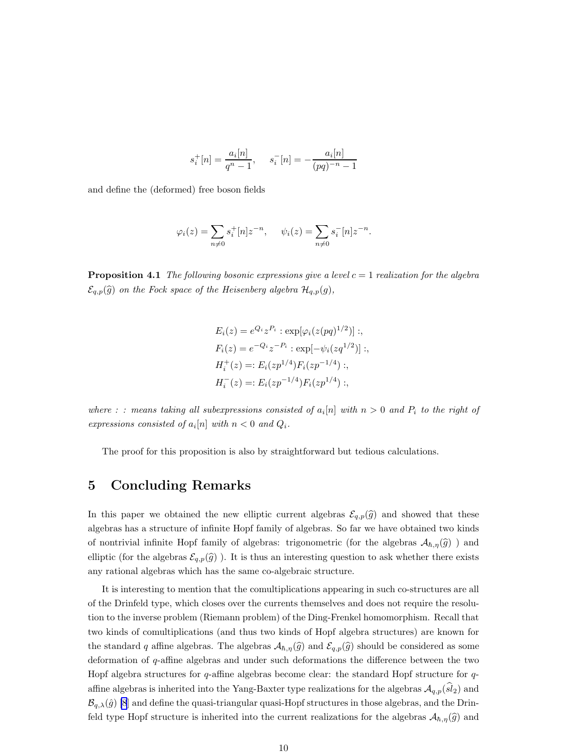$$
s_i^+[n] = \frac{a_i[n]}{q^n - 1}, \quad s_i^-[n] = -\frac{a_i[n]}{(pq)^{-n} - 1}
$$

and define the (deformed) free boson fields

$$
\varphi_i(z) = \sum_{n \neq 0} s_i^+[n]z^{-n}, \quad \psi_i(z) = \sum_{n \neq 0} s_i^-[n]z^{-n}.
$$

**Proposition 4.1** The following bosonic expressions give a level  $c = 1$  realization for the algebra  $\mathcal{E}_{q,p}(\widehat{g})$  on the Fock space of the Heisenberg algebra  $\mathcal{H}_{q,p}(g)$ ,

$$
E_i(z) = e^{Q_i} z^{P_i} : \exp[\varphi_i(z(pq)^{1/2})] ;
$$
  
\n
$$
F_i(z) = e^{-Q_i} z^{-P_i} : \exp[-\psi_i(zq^{1/2})] ;
$$
  
\n
$$
H_i^+(z) =: E_i(zp^{1/4}) F_i(zp^{-1/4}) ;
$$
  
\n
$$
H_i^-(z) =: E_i(zp^{-1/4}) F_i(zp^{1/4}) ;
$$

where : : means taking all subexpressions consisted of  $a_i[n]$  with  $n > 0$  and  $P_i$  to the right of expressions consisted of  $a_i[n]$  with  $n < 0$  and  $Q_i$ .

The proof for this proposition is also by straightforward but tedious calculations.

#### 5 Concluding Remarks

In this paper we obtained the new elliptic current algebras  $\mathcal{E}_{q,p}(\hat{g})$  and showed that these algebras has a structure of infinite Hopf family of algebras. So far we have obtained two kinds of nontrivial infinite Hopf family of algebras: trigonometric (for the algebras  $\mathcal{A}_{\hbar,\eta}(\hat{g})$ ) and elliptic (for the algebras  $\mathcal{E}_{q,p}(\hat{g})$ ). It is thus an interesting question to ask whether there exists any rational algebras which has the same co-algebraic structure.

It is interesting to mention that the comultiplications appearing in such co-structures are all of the Drinfeld type, which closes over the currents themselves and does not require the resolution to the inverse problem (Riemann problem) of the Ding-Frenkel homomorphism. Recall that two kinds of comultiplications (and thus two kinds of Hopf algebra structures) are known for the standard q affine algebras. The algebras  $\mathcal{A}_{h,\eta}(\widehat{g})$  and  $\mathcal{E}_{q,p}(\widehat{g})$  should be considered as some deformation of q-affine algebras and under such deformations the difference between the two Hopf algebra structures for  $q$ -affine algebras become clear: the standard Hopf structure for  $q$ affine algebras is inherited into the Yang-Baxter type realizations for the algebras  $\mathcal{A}_{q,p}(sl_2)$  and  $\mathcal{B}_{q,\lambda}(\hat{g})$  [\[8](#page-10-0)] and define the quasi-triangular quasi-Hopf structures in those algebras, and the Drinfeld type Hopf structure is inherited into the current realizations for the algebras  $\mathcal{A}_{\hbar,\eta}(\hat{g})$  and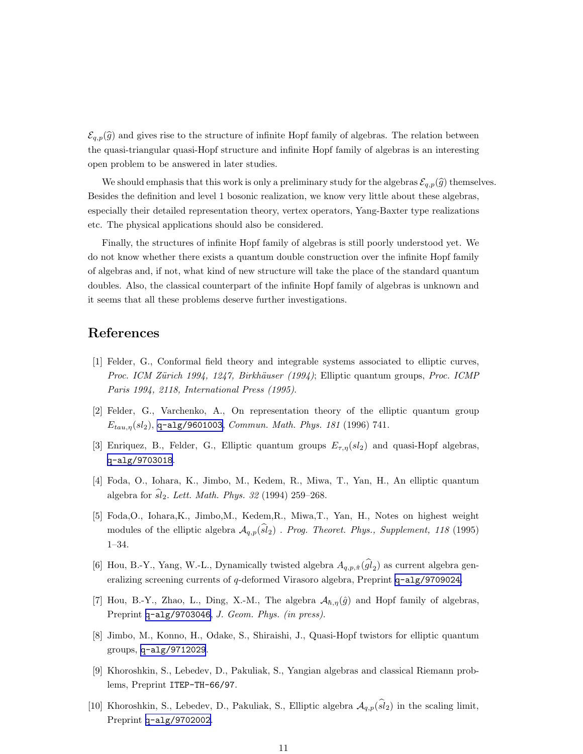<span id="page-10-0"></span> $\mathcal{E}_{q,p}(\hat{g})$  and gives rise to the structure of infinite Hopf family of algebras. The relation between the quasi-triangular quasi-Hopf structure and infinite Hopf family of algebras is an interesting open problem to be answered in later studies.

We should emphasis that this work is only a preliminary study for the algebras  $\mathcal{E}_{q,p}(\hat{g})$  themselves. Besides the definition and level 1 bosonic realization, we know very little about these algebras, especially their detailed representation theory, vertex operators, Yang-Baxter type realizations etc. The physical applications should also be considered.

Finally, the structures of infinite Hopf family of algebras is still poorly understood yet. We do not know whether there exists a quantum double construction over the infinite Hopf family of algebras and, if not, what kind of new structure will take the place of the standard quantum doubles. Also, the classical counterpart of the infinite Hopf family of algebras is unknown and it seems that all these problems deserve further investigations.

### References

- [1] Felder, G., Conformal field theory and integrable systems associated to elliptic curves, Proc. ICM Zürich 1994, 1247, Birkhäuser (1994); Elliptic quantum groups, Proc. ICMP Paris 1994, 2118, International Press (1995).
- [2] Felder, G., Varchenko, A., On representation theory of the elliptic quantum group  $E_{tau,n}(sl_2)$ , [q-alg/9601003](http://arxiv.org/abs/q-alg/9601003), Commun. Math. Phys. 181 (1996) 741.
- [3] Enriquez, B., Felder, G., Elliptic quantum groups  $E_{\tau,\eta}(sl_2)$  and quasi-Hopf algebras, [q-alg/9703018](http://arxiv.org/abs/q-alg/9703018).
- [4] Foda, O., Iohara, K., Jimbo, M., Kedem, R., Miwa, T., Yan, H., An elliptic quantum algebra for  $\widehat{sl}_2$ . Lett. Math. Phys. 32 (1994) 259–268.
- [5] Foda,O., Iohara,K., Jimbo,M., Kedem,R., Miwa,T., Yan, H., Notes on highest weight modules of the elliptic algebra  $A_{q,p}(\widehat{sl}_2)$ . Prog. Theoret. Phys., Supplement, 118 (1995) 1–34.
- [6] Hou, B.-Y., Yang, W.-L., Dynamically twisted algebra  $A_{q,p,\hat{\pi}}(gl_2)$  as current algebra generalizing screening currents of q-deformed Virasoro algebra, Preprint [q-alg/9709024](http://arxiv.org/abs/q-alg/9709024).
- [7] Hou, B.-Y., Zhao, L., Ding, X.-M., The algebra  $\mathcal{A}_{h,\eta}(\hat{g})$  and Hopf family of algebras, Preprint [q-alg/9703046](http://arxiv.org/abs/q-alg/9703046), J. Geom. Phys. (in press).
- [8] Jimbo, M., Konno, H., Odake, S., Shiraishi, J., Quasi-Hopf twistors for elliptic quantum groups, [q-alg/9712029](http://arxiv.org/abs/q-alg/9712029).
- [9] Khoroshkin, S., Lebedev, D., Pakuliak, S., Yangian algebras and classical Riemann problems, Preprint ITEP-TH-66/97.
- [10] Khoroshkin, S., Lebedev, D., Pakuliak, S., Elliptic algebra  $\mathcal{A}_{q,p}(\widehat{sl}_2)$  in the scaling limit, Preprint [q-alg/9702002](http://arxiv.org/abs/q-alg/9702002).